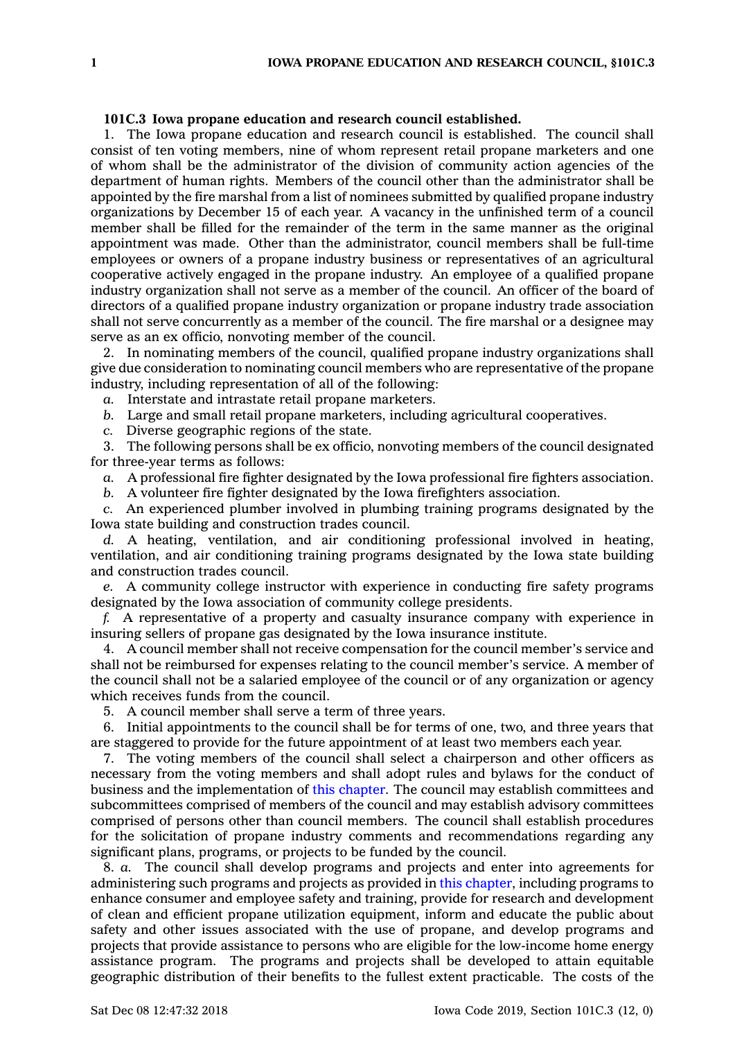## **101C.3 Iowa propane education and research council established.**

1. The Iowa propane education and research council is established. The council shall consist of ten voting members, nine of whom represent retail propane marketers and one of whom shall be the administrator of the division of community action agencies of the department of human rights. Members of the council other than the administrator shall be appointed by the fire marshal from <sup>a</sup> list of nominees submitted by qualified propane industry organizations by December 15 of each year. A vacancy in the unfinished term of <sup>a</sup> council member shall be filled for the remainder of the term in the same manner as the original appointment was made. Other than the administrator, council members shall be full-time employees or owners of <sup>a</sup> propane industry business or representatives of an agricultural cooperative actively engaged in the propane industry. An employee of <sup>a</sup> qualified propane industry organization shall not serve as <sup>a</sup> member of the council. An officer of the board of directors of <sup>a</sup> qualified propane industry organization or propane industry trade association shall not serve concurrently as <sup>a</sup> member of the council. The fire marshal or <sup>a</sup> designee may serve as an ex officio, nonvoting member of the council.

2. In nominating members of the council, qualified propane industry organizations shall give due consideration to nominating council members who are representative of the propane industry, including representation of all of the following:

*a.* Interstate and intrastate retail propane marketers.

*b.* Large and small retail propane marketers, including agricultural cooperatives.

*c.* Diverse geographic regions of the state.

3. The following persons shall be ex officio, nonvoting members of the council designated for three-year terms as follows:

*a.* A professional fire fighter designated by the Iowa professional fire fighters association.

*b.* A volunteer fire fighter designated by the Iowa firefighters association.

*c.* An experienced plumber involved in plumbing training programs designated by the Iowa state building and construction trades council.

*d.* A heating, ventilation, and air conditioning professional involved in heating, ventilation, and air conditioning training programs designated by the Iowa state building and construction trades council.

*e.* A community college instructor with experience in conducting fire safety programs designated by the Iowa association of community college presidents.

*f.* A representative of <sup>a</sup> property and casualty insurance company with experience in insuring sellers of propane gas designated by the Iowa insurance institute.

4. A council member shall not receive compensation for the council member's service and shall not be reimbursed for expenses relating to the council member's service. A member of the council shall not be <sup>a</sup> salaried employee of the council or of any organization or agency which receives funds from the council.

5. A council member shall serve <sup>a</sup> term of three years.

6. Initial appointments to the council shall be for terms of one, two, and three years that are staggered to provide for the future appointment of at least two members each year.

7. The voting members of the council shall select <sup>a</sup> chairperson and other officers as necessary from the voting members and shall adopt rules and bylaws for the conduct of business and the implementation of this [chapter](https://www.legis.iowa.gov/docs/code//101C.pdf). The council may establish committees and subcommittees comprised of members of the council and may establish advisory committees comprised of persons other than council members. The council shall establish procedures for the solicitation of propane industry comments and recommendations regarding any significant plans, programs, or projects to be funded by the council.

8. *a.* The council shall develop programs and projects and enter into agreements for administering such programs and projects as provided in this [chapter](https://www.legis.iowa.gov/docs/code//101C.pdf), including programs to enhance consumer and employee safety and training, provide for research and development of clean and efficient propane utilization equipment, inform and educate the public about safety and other issues associated with the use of propane, and develop programs and projects that provide assistance to persons who are eligible for the low-income home energy assistance program. The programs and projects shall be developed to attain equitable geographic distribution of their benefits to the fullest extent practicable. The costs of the